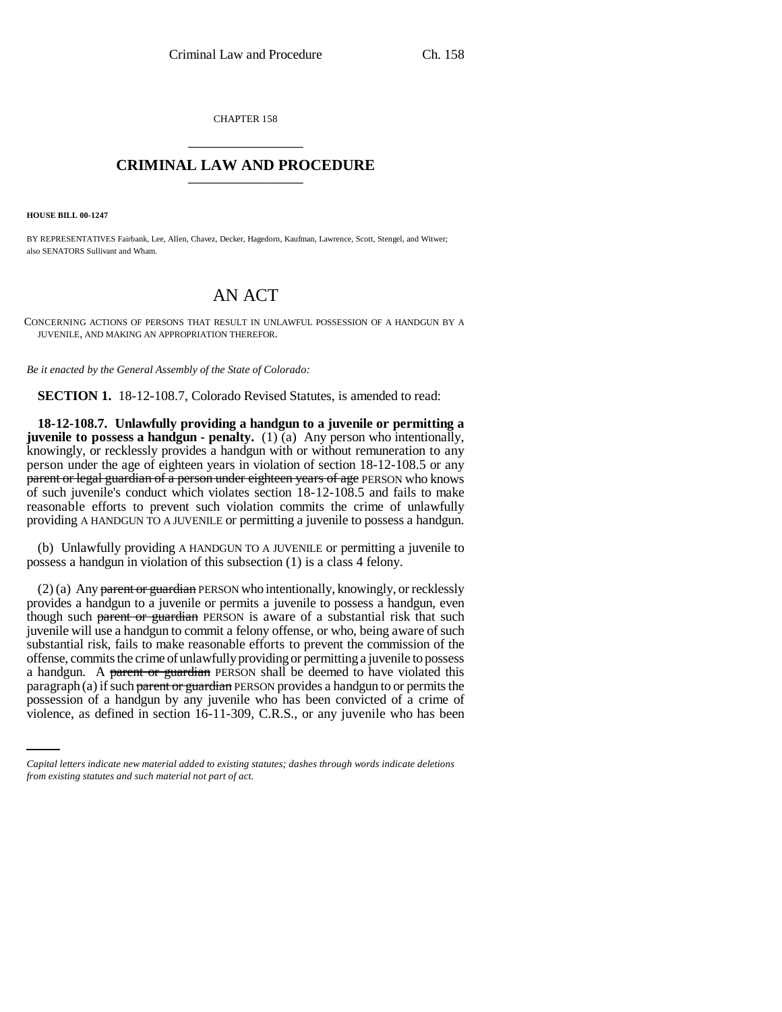CHAPTER 158 \_\_\_\_\_\_\_\_\_\_\_\_\_\_\_

## **CRIMINAL LAW AND PROCEDURE** \_\_\_\_\_\_\_\_\_\_\_\_\_\_\_

**HOUSE BILL 00-1247** 

BY REPRESENTATIVES Fairbank, Lee, Allen, Chavez, Decker, Hagedorn, Kaufman, Lawrence, Scott, Stengel, and Witwer; also SENATORS Sullivant and Wham.

## AN ACT

CONCERNING ACTIONS OF PERSONS THAT RESULT IN UNLAWFUL POSSESSION OF A HANDGUN BY A JUVENILE, AND MAKING AN APPROPRIATION THEREFOR.

*Be it enacted by the General Assembly of the State of Colorado:*

**SECTION 1.** 18-12-108.7, Colorado Revised Statutes, is amended to read:

**18-12-108.7. Unlawfully providing a handgun to a juvenile or permitting a juvenile to possess a handgun - penalty.** (1) (a) Any person who intentionally, knowingly, or recklessly provides a handgun with or without remuneration to any person under the age of eighteen years in violation of section 18-12-108.5 or any parent or legal guardian of a person under eighteen years of age PERSON who knows of such juvenile's conduct which violates section 18-12-108.5 and fails to make reasonable efforts to prevent such violation commits the crime of unlawfully providing A HANDGUN TO A JUVENILE or permitting a juvenile to possess a handgun.

(b) Unlawfully providing A HANDGUN TO A JUVENILE or permitting a juvenile to possess a handgun in violation of this subsection (1) is a class 4 felony.

paragraph (a) if such parent or guardian PERSON provides a handgun to or permits the  $(2)$  (a) Any parent or guardian PERSON who intentionally, knowingly, or recklessly provides a handgun to a juvenile or permits a juvenile to possess a handgun, even though such parent or guardian PERSON is aware of a substantial risk that such juvenile will use a handgun to commit a felony offense, or who, being aware of such substantial risk, fails to make reasonable efforts to prevent the commission of the offense, commits the crime of unlawfully providing or permitting a juvenile to possess a handgun. A parent or guardian PERSON shall be deemed to have violated this possession of a handgun by any juvenile who has been convicted of a crime of violence, as defined in section 16-11-309, C.R.S., or any juvenile who has been

*Capital letters indicate new material added to existing statutes; dashes through words indicate deletions from existing statutes and such material not part of act.*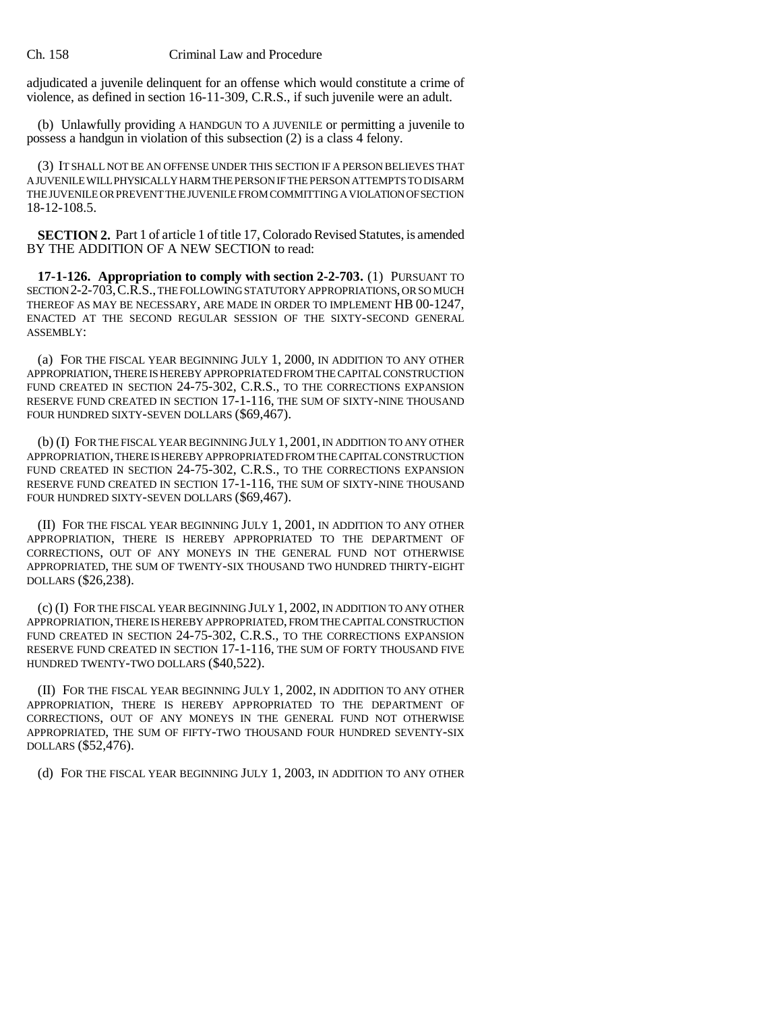adjudicated a juvenile delinquent for an offense which would constitute a crime of violence, as defined in section 16-11-309, C.R.S., if such juvenile were an adult.

(b) Unlawfully providing A HANDGUN TO A JUVENILE or permitting a juvenile to possess a handgun in violation of this subsection (2) is a class 4 felony.

(3) IT SHALL NOT BE AN OFFENSE UNDER THIS SECTION IF A PERSON BELIEVES THAT A JUVENILE WILL PHYSICALLY HARM THE PERSON IF THE PERSON ATTEMPTS TO DISARM THE JUVENILE OR PREVENT THE JUVENILE FROM COMMITTING A VIOLATION OF SECTION 18-12-108.5.

**SECTION 2.** Part 1 of article 1 of title 17, Colorado Revised Statutes, is amended BY THE ADDITION OF A NEW SECTION to read:

**17-1-126. Appropriation to comply with section 2-2-703.** (1) PURSUANT TO SECTION 2-2-703,C.R.S., THE FOLLOWING STATUTORY APPROPRIATIONS, OR SO MUCH THEREOF AS MAY BE NECESSARY, ARE MADE IN ORDER TO IMPLEMENT HB 00-1247, ENACTED AT THE SECOND REGULAR SESSION OF THE SIXTY-SECOND GENERAL ASSEMBLY:

(a) FOR THE FISCAL YEAR BEGINNING JULY 1, 2000, IN ADDITION TO ANY OTHER APPROPRIATION, THERE IS HEREBY APPROPRIATED FROM THE CAPITAL CONSTRUCTION FUND CREATED IN SECTION 24-75-302, C.R.S., TO THE CORRECTIONS EXPANSION RESERVE FUND CREATED IN SECTION 17-1-116, THE SUM OF SIXTY-NINE THOUSAND FOUR HUNDRED SIXTY-SEVEN DOLLARS (\$69,467).

(b) (I) FOR THE FISCAL YEAR BEGINNING JULY 1, 2001, IN ADDITION TO ANY OTHER APPROPRIATION, THERE IS HEREBY APPROPRIATED FROM THE CAPITAL CONSTRUCTION FUND CREATED IN SECTION 24-75-302, C.R.S., TO THE CORRECTIONS EXPANSION RESERVE FUND CREATED IN SECTION 17-1-116, THE SUM OF SIXTY-NINE THOUSAND FOUR HUNDRED SIXTY-SEVEN DOLLARS (\$69,467).

(II) FOR THE FISCAL YEAR BEGINNING JULY 1, 2001, IN ADDITION TO ANY OTHER APPROPRIATION, THERE IS HEREBY APPROPRIATED TO THE DEPARTMENT OF CORRECTIONS, OUT OF ANY MONEYS IN THE GENERAL FUND NOT OTHERWISE APPROPRIATED, THE SUM OF TWENTY-SIX THOUSAND TWO HUNDRED THIRTY-EIGHT DOLLARS (\$26,238).

(c) (I) FOR THE FISCAL YEAR BEGINNING JULY 1, 2002, IN ADDITION TO ANY OTHER APPROPRIATION, THERE IS HEREBY APPROPRIATED, FROM THE CAPITAL CONSTRUCTION FUND CREATED IN SECTION 24-75-302, C.R.S., TO THE CORRECTIONS EXPANSION RESERVE FUND CREATED IN SECTION 17-1-116, THE SUM OF FORTY THOUSAND FIVE HUNDRED TWENTY-TWO DOLLARS (\$40,522).

(II) FOR THE FISCAL YEAR BEGINNING JULY 1, 2002, IN ADDITION TO ANY OTHER APPROPRIATION, THERE IS HEREBY APPROPRIATED TO THE DEPARTMENT OF CORRECTIONS, OUT OF ANY MONEYS IN THE GENERAL FUND NOT OTHERWISE APPROPRIATED, THE SUM OF FIFTY-TWO THOUSAND FOUR HUNDRED SEVENTY-SIX DOLLARS (\$52,476).

(d) FOR THE FISCAL YEAR BEGINNING JULY 1, 2003, IN ADDITION TO ANY OTHER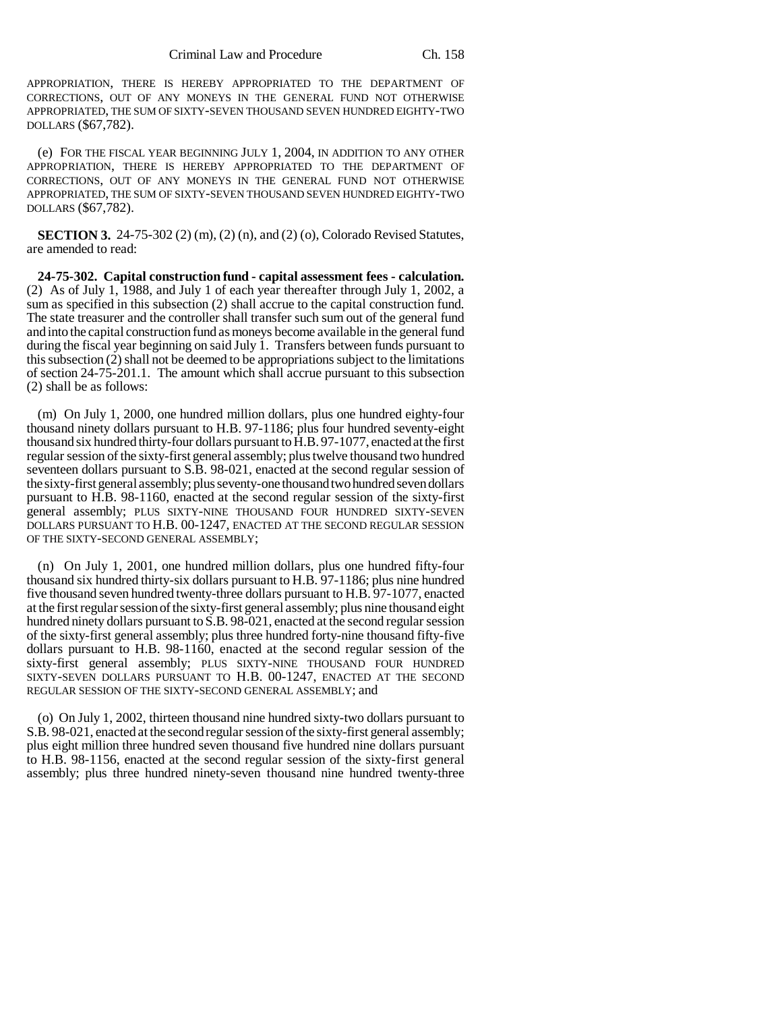APPROPRIATION, THERE IS HEREBY APPROPRIATED TO THE DEPARTMENT OF CORRECTIONS, OUT OF ANY MONEYS IN THE GENERAL FUND NOT OTHERWISE APPROPRIATED, THE SUM OF SIXTY-SEVEN THOUSAND SEVEN HUNDRED EIGHTY-TWO DOLLARS (\$67,782).

(e) FOR THE FISCAL YEAR BEGINNING JULY 1, 2004, IN ADDITION TO ANY OTHER APPROPRIATION, THERE IS HEREBY APPROPRIATED TO THE DEPARTMENT OF CORRECTIONS, OUT OF ANY MONEYS IN THE GENERAL FUND NOT OTHERWISE APPROPRIATED, THE SUM OF SIXTY-SEVEN THOUSAND SEVEN HUNDRED EIGHTY-TWO DOLLARS (\$67,782).

**SECTION 3.** 24-75-302 (2) (m), (2) (n), and (2) (o), Colorado Revised Statutes, are amended to read:

**24-75-302. Capital construction fund - capital assessment fees - calculation.** (2) As of July 1, 1988, and July 1 of each year thereafter through July 1, 2002, a sum as specified in this subsection (2) shall accrue to the capital construction fund. The state treasurer and the controller shall transfer such sum out of the general fund and into the capital construction fund as moneys become available in the general fund during the fiscal year beginning on said July 1. Transfers between funds pursuant to this subsection (2) shall not be deemed to be appropriations subject to the limitations of section 24-75-201.1. The amount which shall accrue pursuant to this subsection (2) shall be as follows:

(m) On July 1, 2000, one hundred million dollars, plus one hundred eighty-four thousand ninety dollars pursuant to H.B. 97-1186; plus four hundred seventy-eight thousand six hundred thirty-four dollars pursuant to H.B. 97-1077, enacted at the first regular session of the sixty-first general assembly; plus twelve thousand two hundred seventeen dollars pursuant to S.B. 98-021, enacted at the second regular session of the sixty-first general assembly; plus seventy-one thousand two hundred seven dollars pursuant to H.B. 98-1160, enacted at the second regular session of the sixty-first general assembly; PLUS SIXTY-NINE THOUSAND FOUR HUNDRED SIXTY-SEVEN DOLLARS PURSUANT TO H.B. 00-1247, ENACTED AT THE SECOND REGULAR SESSION OF THE SIXTY-SECOND GENERAL ASSEMBLY;

(n) On July 1, 2001, one hundred million dollars, plus one hundred fifty-four thousand six hundred thirty-six dollars pursuant to H.B. 97-1186; plus nine hundred five thousand seven hundred twenty-three dollars pursuant to H.B. 97-1077, enacted at the first regular session of the sixty-first general assembly; plus nine thousand eight hundred ninety dollars pursuant to S.B. 98-021, enacted at the second regular session of the sixty-first general assembly; plus three hundred forty-nine thousand fifty-five dollars pursuant to H.B. 98-1160, enacted at the second regular session of the sixty-first general assembly; PLUS SIXTY-NINE THOUSAND FOUR HUNDRED SIXTY-SEVEN DOLLARS PURSUANT TO H.B. 00-1247, ENACTED AT THE SECOND REGULAR SESSION OF THE SIXTY-SECOND GENERAL ASSEMBLY; and

(o) On July 1, 2002, thirteen thousand nine hundred sixty-two dollars pursuant to S.B. 98-021, enacted at the second regular session of the sixty-first general assembly; plus eight million three hundred seven thousand five hundred nine dollars pursuant to H.B. 98-1156, enacted at the second regular session of the sixty-first general assembly; plus three hundred ninety-seven thousand nine hundred twenty-three